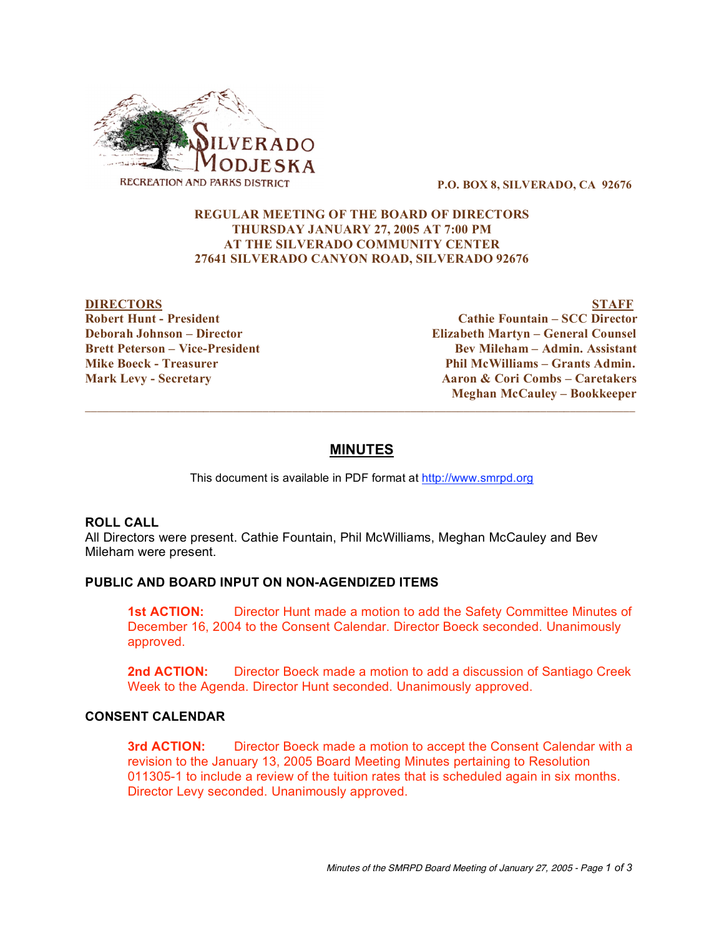

**P.O. BOX 8, SILVERADO, CA 92676**

#### **REGULAR MEETING OF THE BOARD OF DIRECTORS THURSDAY JANUARY 27, 2005 AT 7:00 PM AT THE SILVERADO COMMUNITY CENTER 27641 SILVERADO CANYON ROAD, SILVERADO 92676**

**DIRECTORS STAFF Robert Hunt - President Cathie Fountain – SCC Director Deborah Johnson – Director Elizabeth Martyn – General Counsel Brett Peterson – Vice-President Bev Mileham – Admin. Assistant Mike Boeck - Treasurer Phil McWilliams – Grants Admin. Mark Levy - Secretary Aaron & Cori Combs – Caretakers Meghan McCauley – Bookkeeper**  $\overline{\phantom{a}}$  ,  $\overline{\phantom{a}}$  ,  $\overline{\phantom{a}}$  ,  $\overline{\phantom{a}}$  ,  $\overline{\phantom{a}}$  ,  $\overline{\phantom{a}}$  ,  $\overline{\phantom{a}}$  ,  $\overline{\phantom{a}}$  ,  $\overline{\phantom{a}}$  ,  $\overline{\phantom{a}}$  ,  $\overline{\phantom{a}}$  ,  $\overline{\phantom{a}}$  ,  $\overline{\phantom{a}}$  ,  $\overline{\phantom{a}}$  ,  $\overline{\phantom{a}}$  ,  $\overline{\phantom{a}}$ 

# **MINUTES**

This document is available in PDF format at http://www.smrpd.org

# **ROLL CALL**

All Directors were present. Cathie Fountain, Phil McWilliams, Meghan McCauley and Bev Mileham were present.

# **PUBLIC AND BOARD INPUT ON NON-AGENDIZED ITEMS**

**1st ACTION:** Director Hunt made a motion to add the Safety Committee Minutes of December 16, 2004 to the Consent Calendar. Director Boeck seconded. Unanimously approved.

**2nd ACTION:** Director Boeck made a motion to add a discussion of Santiago Creek Week to the Agenda. Director Hunt seconded. Unanimously approved.

### **CONSENT CALENDAR**

**3rd ACTION:** Director Boeck made a motion to accept the Consent Calendar with a revision to the January 13, 2005 Board Meeting Minutes pertaining to Resolution 011305-1 to include a review of the tuition rates that is scheduled again in six months. Director Levy seconded. Unanimously approved.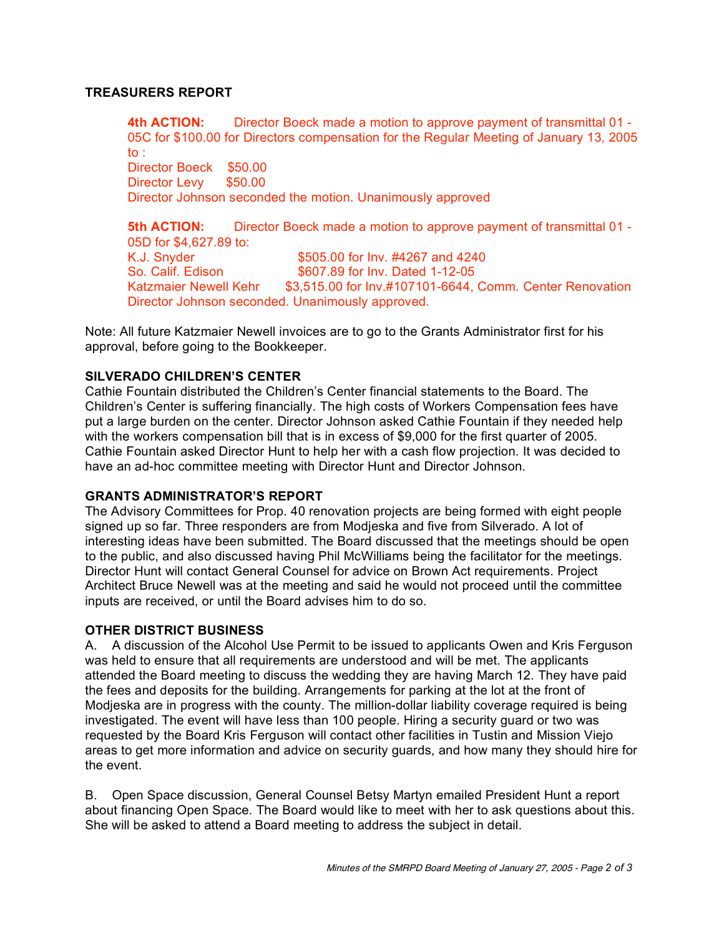#### **TREASURERS REPORT**

**4th ACTION:** Director Boeck made a motion to approve payment of transmittal 01 - 05C for \$100.00 for Directors compensation for the Regular Meeting of January 13, 2005 to : Director Boeck \$50.00 Director Levy \$50.00 Director Johnson seconded the motion. Unanimously approved

**5th ACTION:** Director Boeck made a motion to approve payment of transmittal 01 - 05D for \$4,627.89 to: K.J. Snyder \$505.00 for Inv. #4267 and 4240 So. Calif. Edison \$607.89 for Inv. Dated 1-12-05 Katzmaier Newell Kehr \$3,515.00 for Inv.#107101-6644, Comm. Center Renovation Director Johnson seconded. Unanimously approved.

Note: All future Katzmaier Newell invoices are to go to the Grants Administrator first for his approval, before going to the Bookkeeper.

#### **SILVERADO CHILDREN'S CENTER**

Cathie Fountain distributed the Children's Center financial statements to the Board. The Children's Center is suffering financially. The high costs of Workers Compensation fees have put a large burden on the center. Director Johnson asked Cathie Fountain if they needed help with the workers compensation bill that is in excess of \$9,000 for the first quarter of 2005. Cathie Fountain asked Director Hunt to help her with a cash flow projection. It was decided to have an ad-hoc committee meeting with Director Hunt and Director Johnson.

#### **GRANTS ADMINISTRATOR'S REPORT**

The Advisory Committees for Prop. 40 renovation projects are being formed with eight people signed up so far. Three responders are from Modjeska and five from Silverado. A lot of interesting ideas have been submitted. The Board discussed that the meetings should be open to the public, and also discussed having Phil McWilliams being the facilitator for the meetings. Director Hunt will contact General Counsel for advice on Brown Act requirements. Project Architect Bruce Newell was at the meeting and said he would not proceed until the committee inputs are received, or until the Board advises him to do so.

#### **OTHER DISTRICT BUSINESS**

A. A discussion of the Alcohol Use Permit to be issued to applicants Owen and Kris Ferguson was held to ensure that all requirements are understood and will be met. The applicants attended the Board meeting to discuss the wedding they are having March 12. They have paid the fees and deposits for the building. Arrangements for parking at the lot at the front of Modjeska are in progress with the county. The million-dollar liability coverage required is being investigated. The event will have less than 100 people. Hiring a security guard or two was requested by the Board Kris Ferguson will contact other facilities in Tustin and Mission Viejo areas to get more information and advice on security guards, and how many they should hire for the event.

B. Open Space discussion, General Counsel Betsy Martyn emailed President Hunt a report about financing Open Space. The Board would like to meet with her to ask questions about this. She will be asked to attend a Board meeting to address the subject in detail.